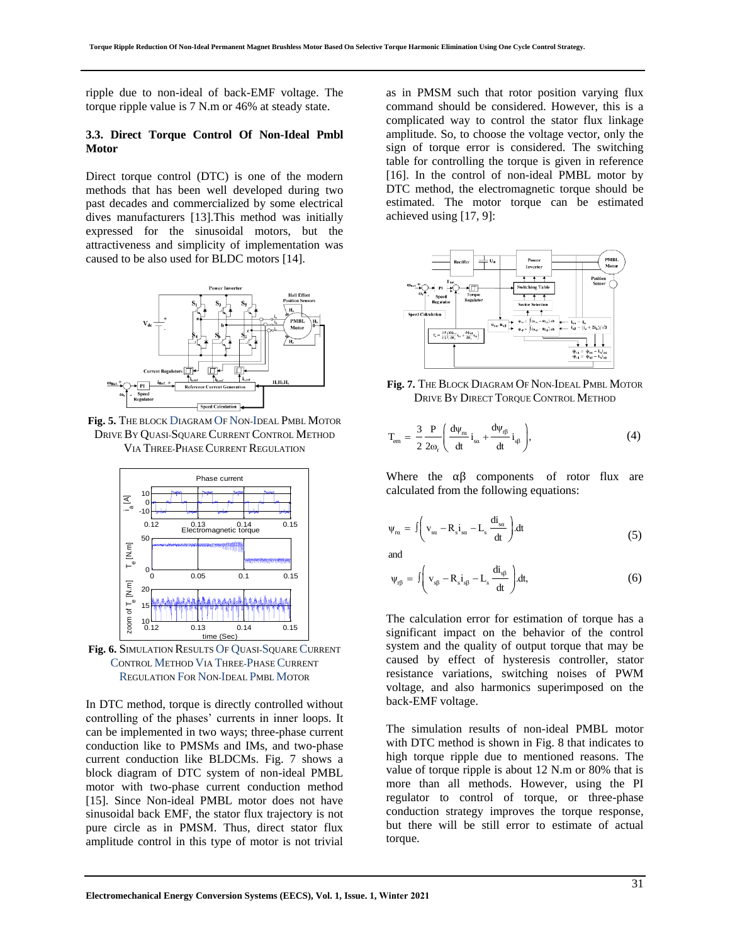ripple due to non-ideal of back-EMF voltage. The torque ripple value is 7 N.m or 46% at steady state.

#### **3.3. Direct Torque Control Of Non-Ideal Pmbl Motor**

Direct torque control (DTC) is one of the modern methods that has been well developed during two past decades and commercialized by some electrical dives manufacturers [13].This method was initially expressed for the sinusoidal motors, but the attractiveness and simplicity of implementation was caused to be also used for BLDC motors [14].



**Fig. 5.** THE BLOCK DIAGRAM OF NON-IDEAL PMBL MOTOR DRIVE BY QUASI-SQUARE CURRENT CONTROL METHOD VIA THREE-PHASE CURRENT REGULATION



**Fig. 6.** SIMULATION RESULTS OF QUASI-SQUARE CURRENT CONTROL METHOD VIA THREE-PHASE CURRENT REGULATION FOR NON-IDEAL PMBL MOTOR

In DTC method, torque is directly controlled without controlling of the phases' currents in inner loops. It can be implemented in two ways; three-phase current conduction like to PMSMs and IMs, and two-phase current conduction like BLDCMs. Fig. 7 shows a block diagram of DTC system of non-ideal PMBL motor with two-phase current conduction method [15]. Since Non-ideal PMBL motor does not have sinusoidal back EMF, the stator flux trajectory is not pure circle as in PMSM. Thus, direct stator flux amplitude control in this type of motor is not trivial

as in PMSM such that rotor position varying flux command should be considered. However, this is a complicated way to control the stator flux linkage amplitude. So, to choose the voltage vector, only the sign of torque error is considered. The switching table for controlling the torque is given in reference [16]. In the control of non-ideal PMBL motor by DTC method, the electromagnetic torque should be estimated. The motor torque can be estimated achieved using [17, 9]:



**Fig. 7.** THE BLOCK DIAGRAM OF NON-IDEAL PMBL MOTOR DRIVE BY DIRECT TORQUE CONTROL METHOD

$$
T_{em} = \frac{3}{2} \frac{P}{2\omega_r} \left( \frac{d\psi_m}{dt} i_{sa} + \frac{d\psi_{rf}}{dt} i_{s\beta} \right),
$$
 (4)

Where the  $\alpha\beta$  components of rotor flux are calculated from the following equations:

$$
\psi_{\text{rx}} = \int \left( v_{\text{sc}} - R_s i_{\text{sc}} - L_s \frac{di_{\text{sc}}}{dt} \right) dt
$$
 (5)

and

and  
\n
$$
\psi_{r\beta} = \int \left( v_{s\beta} - R_s i_{s\beta} - L_s \frac{di_{s\beta}}{dt} \right) dt, \tag{6}
$$

The calculation error for estimation of torque has a significant impact on the behavior of the control system and the quality of output torque that may be caused by effect of hysteresis controller, stator resistance variations, switching noises of PWM voltage, and also harmonics superimposed on the back-EMF voltage.

The simulation results of non-ideal PMBL motor with DTC method is shown in Fig. 8 that indicates to high torque ripple due to mentioned reasons. The value of torque ripple is about 12 N.m or 80% that is more than all methods. However, using the PI regulator to control of torque, or three-phase conduction strategy improves the torque response, but there will be still error to estimate of actual torque.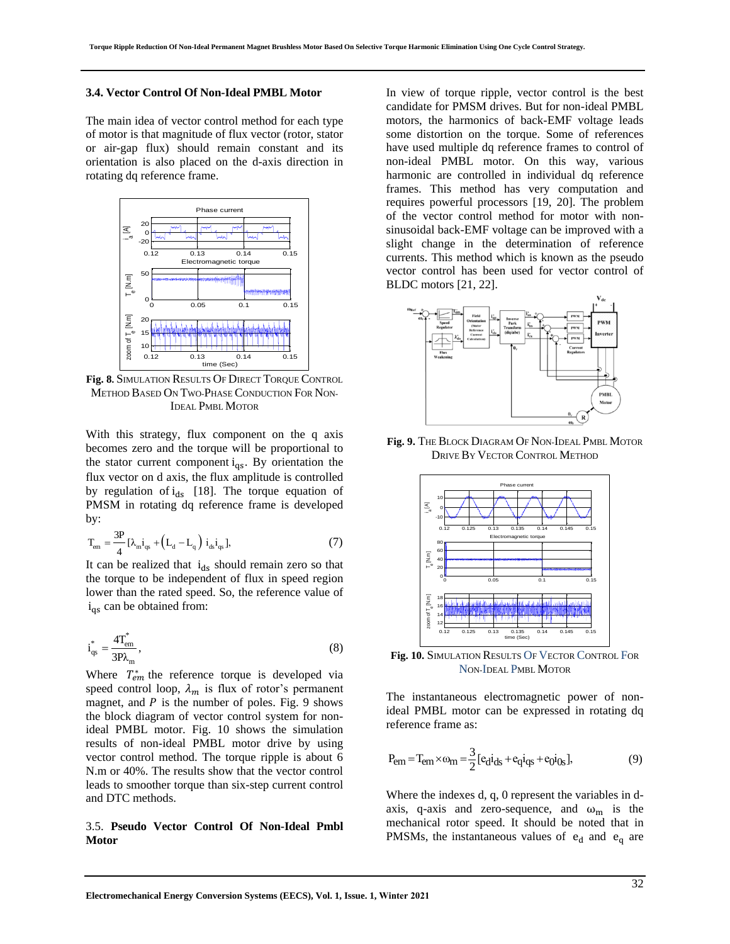#### **3.4. Vector Control Of Non-Ideal PMBL Motor**

The main idea of vector control method for each type of motor is that magnitude of flux vector (rotor, stator or air-gap flux) should remain constant and its orientation is also placed on the d-axis direction in rotating dq reference frame.



**Fig. 8.** SIMULATION RESULTS OF DIRECT TORQUE CONTROL METHOD BASED ON TWO-PHASE CONDUCTION FOR NON-IDEAL PMBL MOTOR

With this strategy, flux component on the q axis becomes zero and the torque will be proportional to the stator current component  $i_{qs}$ . By orientation the flux vector on d axis, the flux amplitude is controlled by regulation of  $i_{ds}$  [18]. The torque equation of PMSM in rotating dq reference frame is developed by:

$$
T_{em} = \frac{3P}{4} [\lambda_{m} i_{qs} + (L_{d} - L_{q}) i_{ds} i_{qs}],
$$
 (7)

It can be realized that  $i_{ds}$  should remain zero so that the torque to be independent of flux in speed region lower than the rated speed. So, the reference value of  $i_{qs}$  can be obtained from:

$$
i_{qs}^* = \frac{4T_{em}^*}{3P\lambda_m},\tag{8}
$$

Where  $T_{em}^*$  the reference torque is developed via speed control loop,  $\lambda_m$  is flux of rotor's permanent magnet, and  $P$  is the number of poles. Fig. 9 shows the block diagram of vector control system for nonideal PMBL motor. Fig. 10 shows the simulation results of non-ideal PMBL motor drive by using vector control method. The torque ripple is about 6 N.m or 40%. The results show that the vector control leads to smoother torque than six-step current control and DTC methods.

#### 3.5. **Pseudo Vector Control Of Non-Ideal Pmbl Motor**

In view of torque ripple, vector control is the best candidate for PMSM drives. But for non-ideal PMBL motors, the harmonics of back-EMF voltage leads some distortion on the torque. Some of references have used multiple dq reference frames to control of non-ideal PMBL motor. On this way, various harmonic are controlled in individual dq reference frames. This method has very computation and requires powerful processors [19, 20]. The problem of the vector control method for motor with nonsinusoidal back-EMF voltage can be improved with a slight change in the determination of reference currents. This method which is known as the pseudo vector control has been used for vector control of BLDC motors [21, 22].



**Fig. 9.** THE BLOCK DIAGRAM OF NON-IDEAL PMBL MOTOR DRIVE BY VECTOR CONTROL METHOD



**Fig. 10.** SIMULATION RESULTS OF VECTOR CONTROL FOR NON-IDEAL PMBL MOTOR

The instantaneous electromagnetic power of nonideal PMBL motor can be expressed in rotating dq reference frame as:

$$
P_{em} = T_{em} \times \omega_m = \frac{3}{2} [e_d i_{ds} + e_q i_{qs} + e_0 i_{0s}],
$$
 (9)

Where the indexes d, q, 0 represent the variables in daxis, q-axis and zero-sequence, and  $\omega_m$  is the mechanical rotor speed. It should be noted that in PMSMs, the instantaneous values of  $e_d$  and  $e_q$  are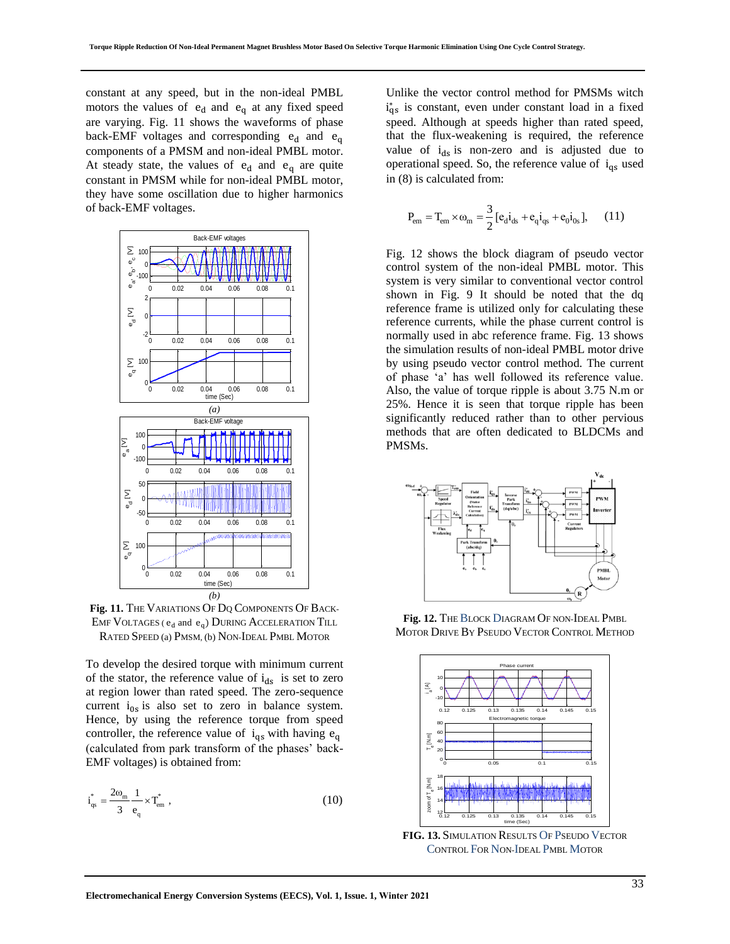constant at any speed, but in the non-ideal PMBL motors the values of  $e_d$  and  $e_q$  at any fixed speed are varying. Fig. 11 shows the waveforms of phase back-EMF voltages and corresponding  $e_d$  and  $e_a$ components of a PMSM and non-ideal PMBL motor. At steady state, the values of  $e_d$  and  $e_q$  are quite constant in PMSM while for non-ideal PMBL motor, they have some oscillation due to higher harmonics of back-EMF voltages.



**Fig. 11.** THE VARIATIONS OF DQ COMPONENTS OF BACK-EMF VOLTAGES ( $e_d$  and  $e_q$ ) DURING ACCELERATION TILL RATED SPEED (a) PMSM, (b) NON-IDEAL PMBL MOTOR

To develop the desired torque with minimum current of the stator, the reference value of  $i_{ds}$  is set to zero at region lower than rated speed. The zero-sequence current  $i_{0s}$  is also set to zero in balance system. Hence, by using the reference torque from speed controller, the reference value of  $i_{qs}$  with having  $e_q$ (calculated from park transform of the phases' back-EMF voltages) is obtained from:

$$
i_{qs}^* = \frac{2\omega_m}{3} \frac{1}{e_q} \times T_{em}^*,
$$
 (10)

Unlike the vector control method for PMSMs witch  $i_{qs}^*$  is constant, even under constant load in a fixed speed. Although at speeds higher than rated speed, that the flux-weakening is required, the reference value of  $i_{ds}$  is non-zero and is adjusted due to operational speed. So, the reference value of  $i_{qs}$  used in (8) is calculated from:

$$
P_{em} = T_{em} \times \omega_m = \frac{3}{2} [e_d i_{ds} + e_q i_{qs} + e_0 i_{0s}], \quad (11)
$$

Fig. 12 shows the block diagram of pseudo vector control system of the non-ideal PMBL motor. This system is very similar to conventional vector control shown in Fig. 9 It should be noted that the dq reference frame is utilized only for calculating these reference currents, while the phase current control is normally used in abc reference frame. Fig. 13 shows the simulation results of non-ideal PMBL motor drive by using pseudo vector control method. The current of phase 'a' has well followed its reference value. Also, the value of torque ripple is about 3.75 N.m or 25%. Hence it is seen that torque ripple has been significantly reduced rather than to other pervious methods that are often dedicated to BLDCMs and PMSMs.



**Fig. 12.** THE BLOCK DIAGRAM OF NON-IDEAL PMBL MOTOR DRIVE BY PSEUDO VECTOR CONTROL METHOD



**FIG. 13.** SIMULATION RESULTS OF PSEUDO VECTOR CONTROL FOR NON-IDEAL PMBL MOTOR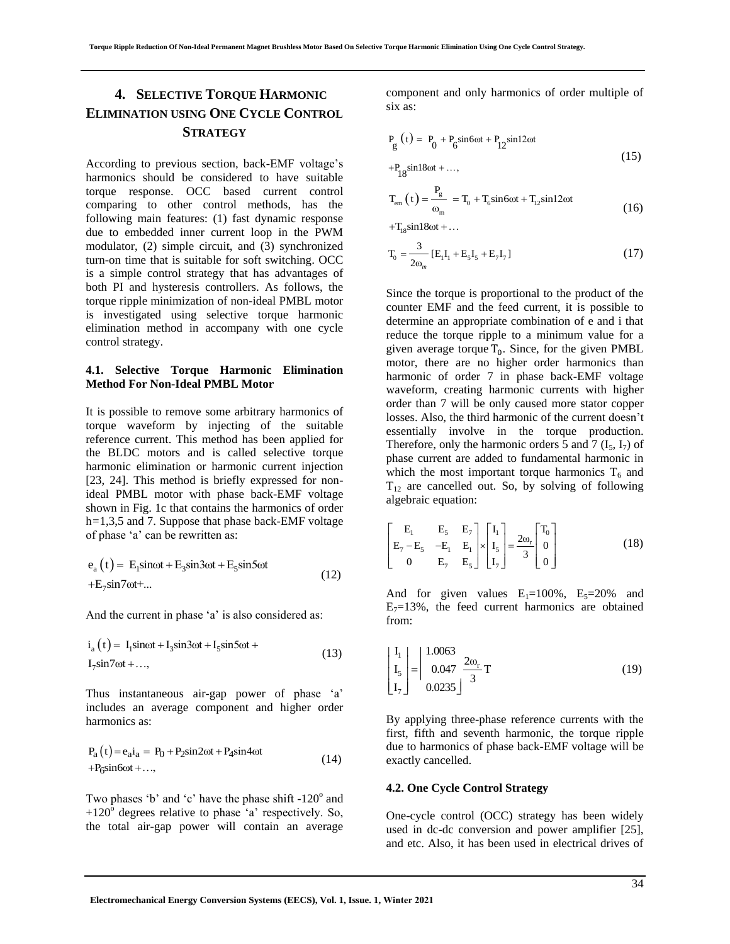# **4. SELECTIVE TORQUE HARMONIC ELIMINATION USING ONE CYCLE CONTROL STRATEGY**

According to previous section, back-EMF voltage's harmonics should be considered to have suitable torque response. OCC based current control comparing to other control methods, has the following main features: (1) fast dynamic response due to embedded inner current loop in the PWM modulator, (2) simple circuit, and (3) synchronized turn-on time that is suitable for soft switching. OCC is a simple control strategy that has advantages of both PI and hysteresis controllers. As follows, the torque ripple minimization of non-ideal PMBL motor is investigated using selective torque harmonic elimination method in accompany with one cycle control strategy.

#### **4.1. Selective Torque Harmonic Elimination Method For Non-Ideal PMBL Motor**

It is possible to remove some arbitrary harmonics of torque waveform by injecting of the suitable reference current. This method has been applied for the BLDC motors and is called selective torque harmonic elimination or harmonic current injection [23, 24]. This method is briefly expressed for nonideal PMBL motor with phase back-EMF voltage shown in Fig. 1c that contains the harmonics of order h*=*1,3,5 and 7. Suppose that phase back-EMF voltage of phase 'a' can be rewritten as:

$$
e_a(t) = E_1 \sin\omega t + E_3 \sin 3\omega t + E_5 \sin 5\omega t
$$
  
+
$$
E_7 \sin 7\omega t + ...
$$
 (12)

And the current in phase 'a' is also considered as:

$$
i_a(t) = I_1 \sin \omega t + I_3 \sin 3\omega t + I_5 \sin 5\omega t + I_7 \sin 7\omega t + \dots,
$$
\n(13)

Thus instantaneous air-gap power of phase 'a' includes an average component and higher order harmonics as:

$$
P_a(t) = e_a i_a = P_0 + P_2 \sin 2\omega t + P_4 \sin 4\omega t
$$
  
+
$$
P_6 \sin 6\omega t + ...,
$$
 (14)

Two phases 'b' and 'c' have the phase shift  $-120^\circ$  and  $+120^{\circ}$  degrees relative to phase  $\alpha$  respectively. So, the total air-gap power will contain an average

component and only harmonics of order multiple of six as:

$$
P_g(t) = P_0 + P_6 \sin 6\omega t + P_{12} \sin 12\omega t
$$
  
+
$$
P_{18} \sin 18\omega t + ...,
$$
 (15)

$$
T_{em}(t) = \frac{P_g}{\omega_m} = T_0 + T_6 \sin 6\omega t + T_{12} \sin 12\omega t
$$
 (16)

 $+T_{18}\sin 18\omega t + ...$ 

$$
T_0 = \frac{3}{2\omega_m} [E_1 I_1 + E_5 I_5 + E_7 I_7]
$$
 (17)

Since the torque is proportional to the product of the counter EMF and the feed current, it is possible to determine an appropriate combination of e and i that reduce the torque ripple to a minimum value for a given average torque  $T_0$ . Since, for the given PMBL motor, there are no higher order harmonics than harmonic of order 7 in phase back-EMF voltage waveform, creating harmonic currents with higher order than 7 will be only caused more stator copper losses. Also, the third harmonic of the current doesn't essentially involve in the torque production. Therefore, only the harmonic orders 5 and 7  $(I_5, I_7)$  of phase current are added to fundamental harmonic in which the most important torque harmonics  $T_6$  and  $T_{12}$  are cancelled out. So, by solving of following algebraic equation:

$$
\begin{bmatrix} E_1 & E_5 & E_7 \\ E_7 - E_5 & -E_1 & E_1 \\ 0 & E_7 & E_5 \end{bmatrix} \times \begin{bmatrix} I_1 \\ I_5 \\ I_7 \end{bmatrix} = \frac{2\omega_r}{3} \begin{bmatrix} T_0 \\ 0 \\ 0 \end{bmatrix} \tag{18}
$$

And for given values  $E_1=100\%$ ,  $E_5=20\%$  and  $E_7=13\%$ , the feed current harmonics are obtained from:

$$
\begin{bmatrix} I_1 \\ I_5 \\ I_7 \end{bmatrix} = \begin{bmatrix} 1.0063 \\ 0.047 & \frac{2\omega_r}{3} T \\ 0.0235 \end{bmatrix} T
$$
 (19)

By applying three-phase reference currents with the first, fifth and seventh harmonic, the torque ripple due to harmonics of phase back-EMF voltage will be exactly cancelled.

#### **4.2. One Cycle Control Strategy**

One-cycle control (OCC) strategy has been widely used in dc-dc conversion and power amplifier [25], and etc. Also, it has been used in electrical drives of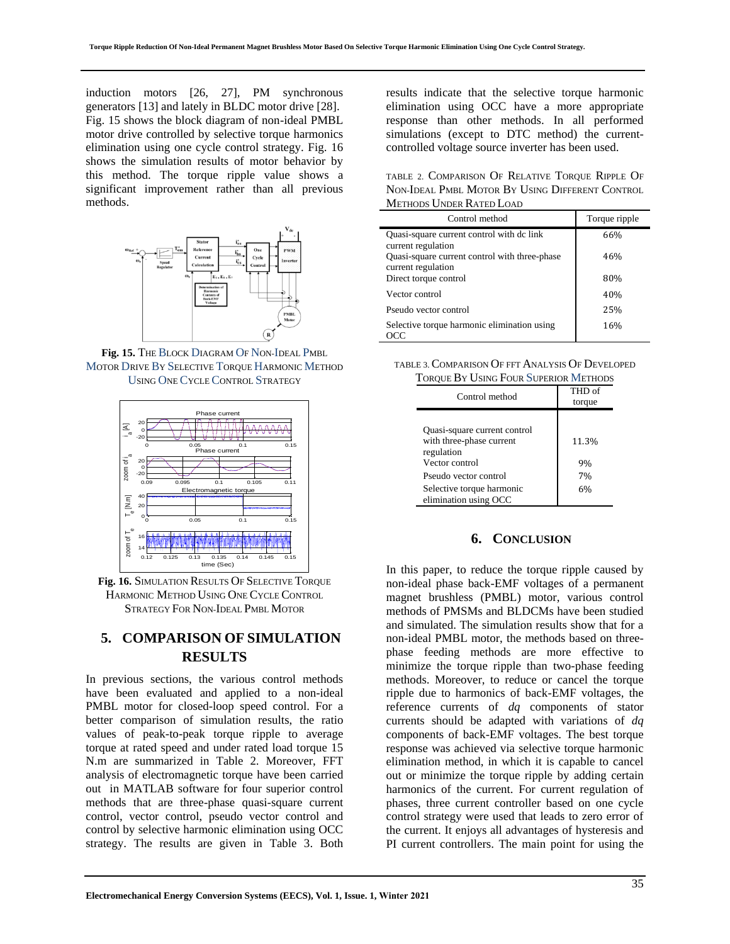induction motors [26, 27], PM synchronous generators [13] and lately in BLDC motor drive [28]. Fig. 15 shows the block diagram of non-ideal PMBL motor drive controlled by selective torque harmonics elimination using one cycle control strategy. Fig. 16 shows the simulation results of motor behavior by this method. The torque ripple value shows a significant improvement rather than all previous methods.



**Fig. 15.** THE BLOCK DIAGRAM OF NON-IDEAL PMBL MOTOR DRIVE BY SELECTIVE TORQUE HARMONIC METHOD USING ONE CYCLE CONTROL STRATEGY



**Fig. 16.** SIMULATION RESULTS OF SELECTIVE TORQUE HARMONIC METHOD USING ONE CYCLE CONTROL STRATEGY FOR NON-IDEAL PMBL MOTOR

## **5. COMPARISON OF SIMULATION RESULTS**

In previous sections, the various control methods have been evaluated and applied to a non-ideal PMBL motor for closed-loop speed control. For a better comparison of simulation results, the ratio values of peak-to-peak torque ripple to average torque at rated speed and under rated load torque 15 N.m are summarized in Table 2. Moreover, FFT analysis of electromagnetic torque have been carried out in MATLAB software for four superior control methods that are three-phase quasi-square current control, vector control, pseudo vector control and control by selective harmonic elimination using OCC strategy. The results are given in Table 3. Both results indicate that the selective torque harmonic elimination using OCC have a more appropriate response than other methods. In all performed simulations (except to DTC method) the currentcontrolled voltage source inverter has been used.

TABLE 2. COMPARISON OF RELATIVE TORQUE RIPPLE OF NON-IDEAL PMBL MOTOR BY USING DIFFERENT CONTROL METHODS UNDER RATED LOAD

| Control method                                                      | Torque ripple |
|---------------------------------------------------------------------|---------------|
| Quasi-square current control with dc link<br>current regulation     | 66%           |
| Quasi-square current control with three-phase<br>current regulation | 46%           |
| Direct torque control                                               | 80%           |
| Vector control                                                      | 40%           |
| Pseudo vector control                                               | 25%           |
| Selective torque harmonic elimination using                         | 16%           |

TABLE 3. COMPARISON OF FFT ANALYSIS OF DEVELOPED TORQUE BY HERIC FOUR SUPERIOR METHODS

| <b>I OROUE D'Y USING L'OUR SUPERIOR IVIETHODS</b> |        |
|---------------------------------------------------|--------|
| Control method                                    | THD of |
|                                                   | torque |
|                                                   |        |
| Quasi-square current control                      |        |
| with three-phase current                          | 11.3%  |
| regulation                                        |        |
| Vector control                                    | 9%     |
| Pseudo vector control                             | 7%     |
| Selective torque harmonic                         | 6%     |
| elimination using OCC                             |        |

### **6. CONCLUSION**

In this paper, to reduce the torque ripple caused by non-ideal phase back-EMF voltages of a permanent magnet brushless (PMBL) motor, various control methods of PMSMs and BLDCMs have been studied and simulated. The simulation results show that for a non-ideal PMBL motor, the methods based on threephase feeding methods are more effective to minimize the torque ripple than two-phase feeding methods. Moreover, to reduce or cancel the torque ripple due to harmonics of back-EMF voltages, the reference currents of *dq* components of stator currents should be adapted with variations of *dq* components of back-EMF voltages. The best torque response was achieved via selective torque harmonic elimination method, in which it is capable to cancel out or minimize the torque ripple by adding certain harmonics of the current. For current regulation of phases, three current controller based on one cycle control strategy were used that leads to zero error of the current. It enjoys all advantages of hysteresis and PI current controllers. The main point for using the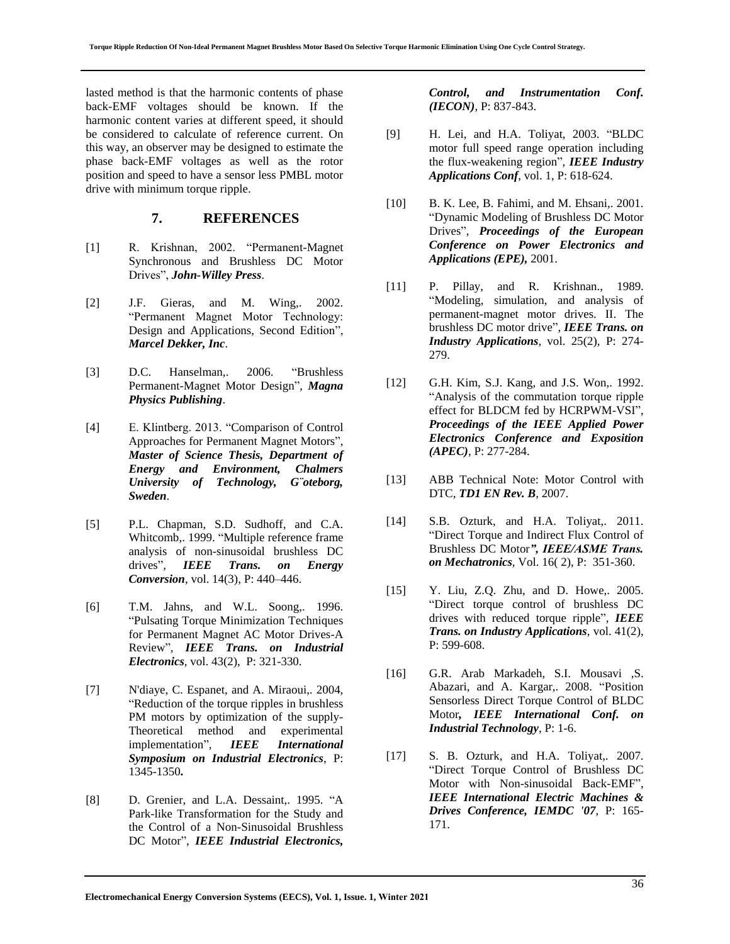lasted method is that the harmonic contents of phase back-EMF voltages should be known. If the harmonic content varies at different speed, it should be considered to calculate of reference current. On this way, an observer may be designed to estimate the phase back-EMF voltages as well as the rotor position and speed to have a sensor less PMBL motor drive with minimum torque ripple.

### **7. REFERENCES**

- [1] R. Krishnan, 2002. "Permanent-Magnet Synchronous and Brushless DC Motor Drives", *John-Willey Press*.
- [2] J.F. Gieras, and M. Wing,. 2002. "Permanent Magnet Motor Technology: Design and Applications, Second Edition", *Marcel Dekker, Inc*.
- [3] D.C. Hanselman,. 2006. "Brushless Permanent-Magnet Motor Design", *Magna Physics Publishing*.
- [4] E. Klintberg. 2013. "Comparison of Control Approaches for Permanent Magnet Motors", *Master of Science Thesis, Department of Energy and Environment, Chalmers University of Technology, G¨oteborg, Sweden*.
- [5] P.L. Chapman, S.D. Sudhoff, and C.A. Whitcomb,. 1999. "Multiple reference frame analysis of non-sinusoidal brushless DC drives", *IEEE Trans. on Energy Conversion*, vol. 14(3), P: 440–446.
- [6] T.M. Jahns, and W.L. Soong,. 1996. "Pulsating Torque Minimization Techniques for Permanent Magnet AC Motor Drives-A Review", *IEEE Trans. on Industrial Electronics*, vol. 43(2), P: 321-330.
- [7] N'diaye, C. Espanet, and A. Miraoui,. 2004, "Reduction of the torque ripples in brushless PM motors by optimization of the supply-Theoretical method and experimental implementation", *IEEE International Symposium on Industrial Electronics*, P: 1345-1350**.**
- [8] D. Grenier, and L.A. Dessaint, 1995. "A Park-like Transformation for the Study and the Control of a Non-Sinusoidal Brushless DC Motor", *IEEE Industrial Electronics,*

*Control, and Instrumentation Conf. (IECON)*, P: 837-843.

- [9] H. Lei, and H.A. Toliyat, 2003. "BLDC motor full speed range operation including the flux-weakening region", *IEEE Industry Applications Conf*, vol. 1, P: 618-624.
- [10] B. K. Lee, B. Fahimi, and M. Ehsani,. 2001. "Dynamic Modeling of Brushless DC Motor Drives", *Proceedings of the European Conference on Power Electronics and Applications (EPE),* 2001.
- [11] P. Pillay, and R. Krishnan., 1989. "Modeling, simulation, and analysis of permanent-magnet motor drives. II. The brushless DC motor drive", *IEEE Trans. on Industry Applications*, vol. 25(2), P: 274- 279.
- [12] G.H. Kim, S.J. Kang, and J.S. Won, 1992. "Analysis of the commutation torque ripple effect for BLDCM fed by HCRPWM-VSI", *Proceedings of the IEEE Applied Power Electronics Conference and Exposition (APEC)*, P: 277-284.
- [13] ABB Technical Note: Motor Control with DTC, *TD1 EN Rev. B*, 2007.
- [14] S.B. Ozturk, and H.A. Toliyat,. 2011. "Direct Torque and Indirect Flux Control of Brushless DC Motor*", IEEE/ASME Trans. on Mechatronics*, Vol. 16( 2), P: 351-360.
- [15] Y. Liu, Z.Q. Zhu, and D. Howe,. 2005. "Direct torque control of brushless DC drives with reduced torque ripple", *IEEE Trans. on Industry Applications*, vol. 41(2), P: 599-608.
- [16] G.R. Arab Markadeh, S.I. Mousavi ,S. Abazari, and A. Kargar,. 2008. "Position Sensorless Direct Torque Control of BLDC Motor*, IEEE International Conf. on Industrial Technology*, P: 1-6.
- [17] S. B. Ozturk, and H.A. Toliyat,. 2007. "Direct Torque Control of Brushless DC Motor with Non-sinusoidal Back-EMF", *IEEE International Electric Machines & Drives Conference, IEMDC '07*, P: 165- 171.